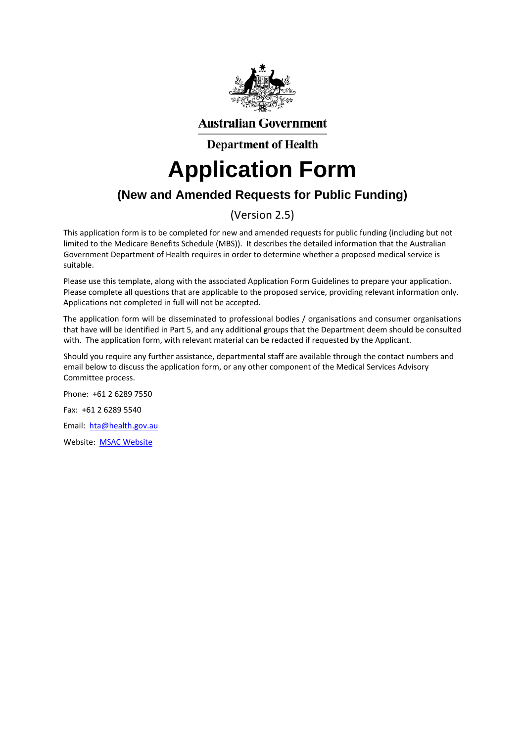

**Australian Government** 

**Department of Health** 

# **Application Form**

### **(New and Amended Requests for Public Funding)**

### (Version 2.5)

This application form is to be completed for new and amended requests for public funding (including but not limited to the Medicare Benefits Schedule (MBS)). It describes the detailed information that the Australian Government Department of Health requires in order to determine whether a proposed medical service is suitable.

Please use this template, along with the associated Application Form Guidelines to prepare your application. Please complete all questions that are applicable to the proposed service, providing relevant information only. Applications not completed in full will not be accepted.

The application form will be disseminated to professional bodies / organisations and consumer organisations that have will be identified in Part 5, and any additional groups that the Department deem should be consulted with. The application form, with relevant material can be redacted if requested by the Applicant.

Should you require any further assistance, departmental staff are available through the contact numbers and email below to discuss the application form, or any other component of the Medical Services Advisory Committee process.

Phone: +61 2 6289 7550 Fax: +61 2 6289 5540 Email: hta@health.gov.au Website: MSAC Website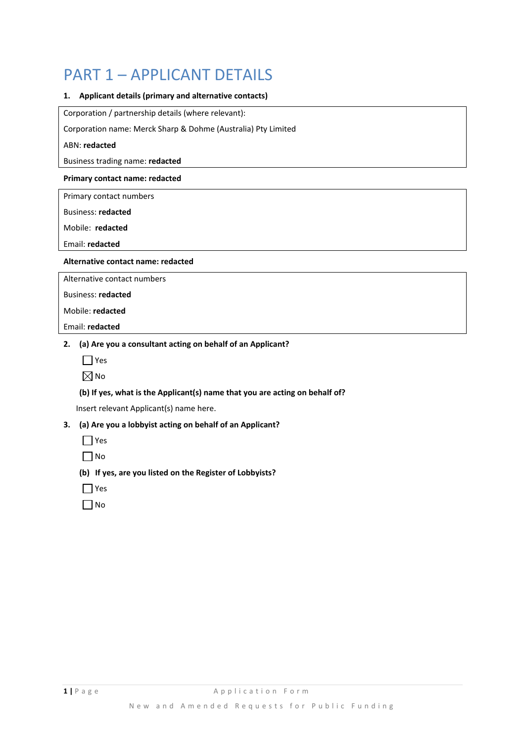### PART 1 – APPLICANT DETAILS

#### **1. Applicant details (primary and alternative contacts)**

Corporation / partnership details (where relevant):

Corporation name: Merck Sharp & Dohme (Australia) Pty Limited

#### ABN: **redacted**

Business trading name: **redacted**

#### **Primary contact name: redacted**

Primary contact numbers

Business: **redacted**

Mobile: **redacted**

Email: **redacted**

#### **Alternative contact name: redacted**

Alternative contact numbers

Business: **redacted**

Mobile: **redacted**

Email: **redacted**

#### **2. (a) Are you a consultant acting on behalf of an Applicant?**

| ۰.<br>×<br>v<br>I |
|-------------------|
|                   |

 $\boxtimes$ No

#### **(b) If yes, what is the Applicant(s) name that you are acting on behalf of?**

Insert relevant Applicant(s) name here.

#### **3. (a) Are you a lobbyist acting on behalf of an Applicant?**

- $\Box$  Yes
- $\Box$ No

#### **(b) If yes, are you listed on the Register of Lobbyists?**

- $\Box$  Yes
- $\Box$  No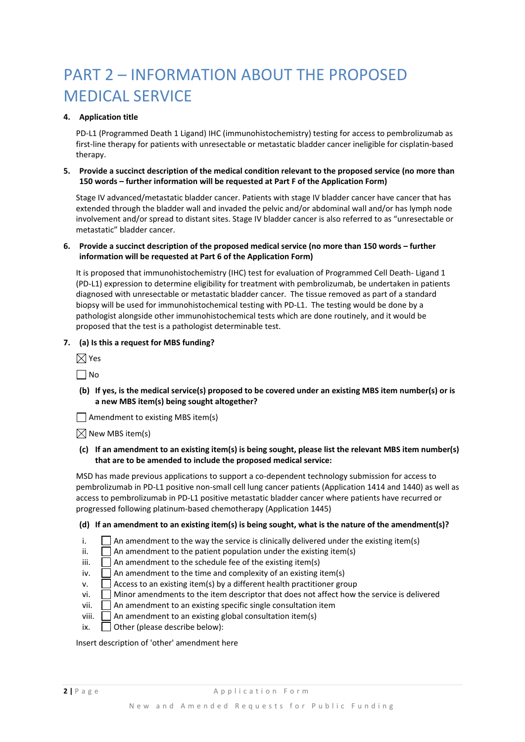## PART 2 – INFORMATION ABOUT THE PROPOSED MEDICAL SERVICE

#### **4. Application title**

PD‐L1 (Programmed Death 1 Ligand) IHC (immunohistochemistry) testing for access to pembrolizumab as first‐line therapy for patients with unresectable or metastatic bladder cancer ineligible for cisplatin‐based therapy.

#### **5. Provide a succinct description of the medical condition relevant to the proposed service (no more than 150 words – further information will be requested at Part F of the Application Form)**

Stage IV advanced/metastatic bladder cancer. Patients with stage IV bladder cancer have cancer that has extended through the bladder wall and invaded the pelvic and/or abdominal wall and/or has lymph node involvement and/or spread to distant sites. Stage IV bladder cancer is also referred to as "unresectable or metastatic" bladder cancer.

#### **6. Provide a succinct description of the proposed medical service (no more than 150 words – further information will be requested at Part 6 of the Application Form)**

It is proposed that immunohistochemistry (IHC) test for evaluation of Programmed Cell Death-Ligand 1 (PD‐L1) expression to determine eligibility for treatment with pembrolizumab, be undertaken in patients diagnosed with unresectable or metastatic bladder cancer. The tissue removed as part of a standard biopsy will be used for immunohistochemical testing with PD‐L1. The testing would be done by a pathologist alongside other immunohistochemical tests which are done routinely, and it would be proposed that the test is a pathologist determinable test.

#### **7. (a) Is this a request for MBS funding?**

|  | ×<br>۰. |
|--|---------|
|--|---------|

 $\Box$ No

(b) If yes, is the medical service(s) proposed to be covered under an existing MBS item number(s) or is **a new MBS item(s) being sought altogether?**

 $\Box$  Amendment to existing MBS item(s)

 $\boxtimes$  New MBS item(s)

(c) If an amendment to an existing item(s) is being sought, please list the relevant MBS item number(s) **that are to be amended to include the proposed medical service:** 

MSD has made previous applications to support a co-dependent technology submission for access to pembrolizumab in PD‐L1 positive non‐small cell lung cancer patients (Application 1414 and 1440) as well as access to pembrolizumab in PD‐L1 positive metastatic bladder cancer where patients have recurred or progressed following platinum‐based chemotherapy (Application 1445)

#### (d) If an amendment to an existing item(s) is being sought, what is the nature of the amendment(s)?

- i.  $\Box$  An amendment to the way the service is clinically delivered under the existing item(s)
- ii.  $\Box$  An amendment to the patient population under the existing item(s)
- iii.  $\Box$  An amendment to the schedule fee of the existing item(s)
- iv.  $\Box$  An amendment to the time and complexity of an existing item(s)
- $\mathsf{v}$ .  $\Box$  Access to an existing item(s) by a different health practitioner group
- $vi.$  Minor amendments to the item descriptor that does not affect how the service is delivered
- vii.  $\Box$  An amendment to an existing specific single consultation item
- viii.  $\Box$  An amendment to an existing global consultation item(s)
- ix.  $\Box$  Other (please describe below):

Insert description of 'other' amendment here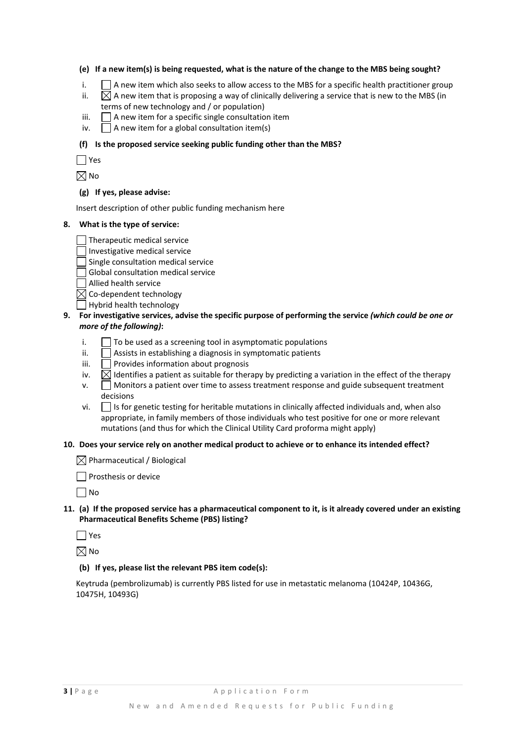#### (e) If a new item(s) is being requested, what is the nature of the change to the MBS being sought?

- i.  $\Box$  A new item which also seeks to allow access to the MBS for a specific health practitioner group
- ii.  $\boxtimes$  A new item that is proposing a way of clinically delivering a service that is new to the MBS (in terms of new technology and / or population)
- iii.  $\Box$  A new item for a specific single consultation item
- iv.  $\Box$  A new item for a global consultation item(s)

#### **(f) Is the proposed service seeking public funding other than the MBS?**

 $\Box$  Yes

 $\boxtimes$  No

#### **(g) If yes, please advise:**

Insert description of other public funding mechanism here

#### **8. What is the type of service:**

Therapeutic medical service

- $\Box$  Investigative medical service
- Single consultation medical service
- Global consultation medical service
- Allied health service

 $\boxtimes$  Co-dependent technology

- $\Box$  Hybrid health technology
- 9. For investigative services, advise the specific purpose of performing the service (which could be one or *more of the following)***:**
	- $i.$   $\Box$  To be used as a screening tool in asymptomatic populations
	- $ii.$  Assists in establishing a diagnosis in symptomatic patients
	- $iii.$  Provides information about prognosis
	- iv.  $\Box$  Identifies a patient as suitable for therapy by predicting a variation in the effect of the therapy
	- $\mathsf{v}$ . Monitors a patient over time to assess treatment response and guide subsequent treatment decisions
	- $vi.$  Is for genetic testing for heritable mutations in clinically affected individuals and, when also appropriate, in family members of those individuals who test positive for one or more relevant mutations (and thus for which the Clinical Utility Card proforma might apply)

#### **10. Does your service rely on another medical product to achieve or to enhance its intended effect?**

 $\boxtimes$  Pharmaceutical / Biological

**Prosthesis or device** 

 $\Box$  No

11. (a) If the proposed service has a pharmaceutical component to it, is it already covered under an existing **Pharmaceutical Benefits Scheme (PBS) listing?**

 $\Box$  Yes

 $\boxtimes$  No

#### **(b) If yes, please list the relevant PBS item code(s):**

Keytruda (pembrolizumab) is currently PBS listed for use in metastatic melanoma (10424P, 10436G, 10475H, 10493G)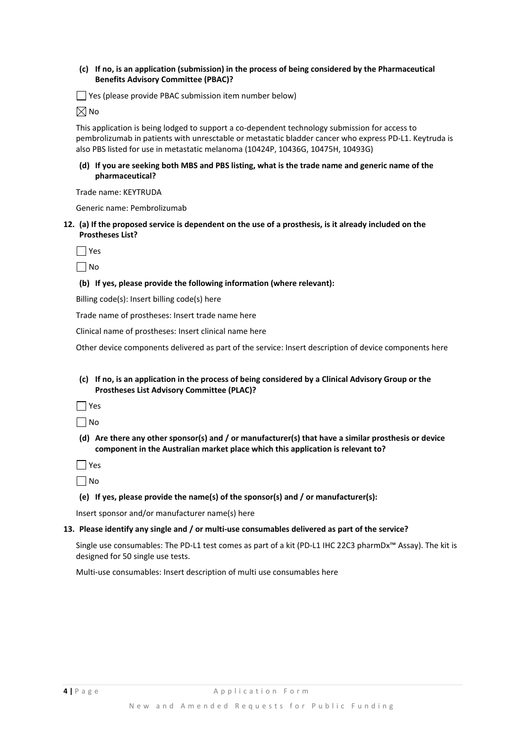#### **(c) If no, is an application (submission) in the process of being considered by the Pharmaceutical Benefits Advisory Committee (PBAC)?**

Yes (please provide PBAC submission item number below)

 $\boxtimes$ No

This application is being lodged to support a co-dependent technology submission for access to pembrolizumab in patients with unresctable or metastatic bladder cancer who express PD‐L1. Keytruda is also PBS listed for use in metastatic melanoma (10424P, 10436G, 10475H, 10493G)

(d) If you are seeking both MBS and PBS listing, what is the trade name and generic name of the **pharmaceutical?**

Trade name: KEYTRUDA

Generic name: Pembrolizumab

12. (a) If the proposed service is dependent on the use of a prosthesis, is it already included on the **Prostheses List?**

 $\Box$  Yes

 $\Box$ No

#### **(b) If yes, please provide the following information (where relevant):**

Billing code(s): Insert billing code(s) here

Trade name of prostheses: Insert trade name here

Clinical name of prostheses: Insert clinical name here

Other device components delivered as part of the service: Insert description of device components here

(c) If no, is an application in the process of being considered by a Clinical Advisory Group or the **Prostheses List Advisory Committee (PLAC)?**

 $\Box$  Yes

 $\Box$ No

**(d) Are there any other sponsor(s) and / or manufacturer(s) that have a similar prosthesis or device component in the Australian market place which this application is relevant to?**

 $\Box$  Yes

 $\Box$ No

#### **(e) If yes, please provide the name(s) of the sponsor(s) and / or manufacturer(s):**

Insert sponsor and/or manufacturer name(s) here

#### **13. Please identify any single and / or multi‐use consumables delivered as part of the service?**

Single use consumables: The PD‐L1 test comes as part of a kit (PD‐L1 IHC 22C3 pharmDx™ Assay). The kit is designed for 50 single use tests.

Multi‐use consumables: Insert description of multi use consumables here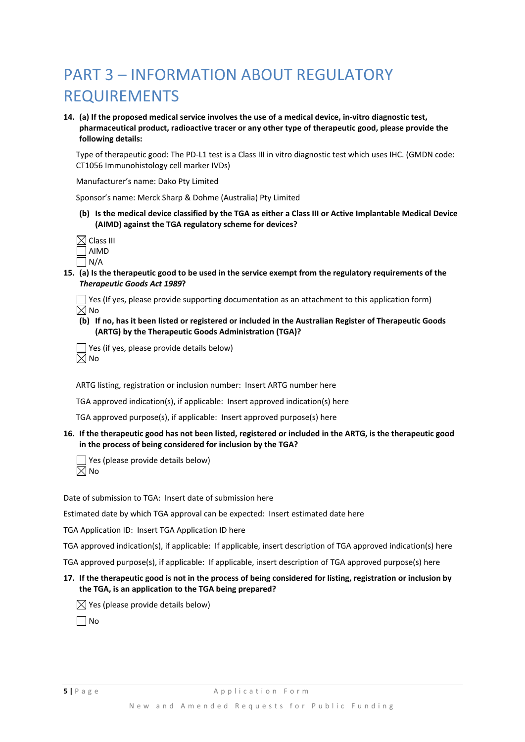### PART 3 – INFORMATION ABOUT REGULATORY REQUIREMENTS

14. (a) If the proposed medical service involves the use of a medical device, in-vitro diagnostic test, **pharmaceutical product, radioactive tracer or any other type of therapeutic good, please provide the following details:**

Type of therapeutic good: The PD‐L1 test is a Class III in vitro diagnostic test which uses IHC. (GMDN code: CT1056 Immunohistology cell marker IVDs)

Manufacturer's name: Dako Pty Limited

Sponsor's name: Merck Sharp & Dohme (Australia) Pty Limited

(b) Is the medical device classified by the TGA as either a Class III or Active Implantable Medical Device **(AIMD) against the TGA regulatory scheme for devices?**

| $\boxtimes$ Class III |  |
|-----------------------|--|
| $\Box$ AIMD           |  |
| l N/A                 |  |

15. (a) Is the therapeutic good to be used in the service exempt from the regulatory requirements of the *Therapeutic Goods Act 1989***?**

 $\Box$  Yes (If yes, please provide supporting documentation as an attachment to this application form)  $\boxtimes$  No

(b) If no, has it been listed or registered or included in the Australian Register of Therapeutic Goods **(ARTG) by the Therapeutic Goods Administration (TGA)?**

Yes (if yes, please provide details below)  $\boxtimes$  No

ARTG listing, registration or inclusion number: Insert ARTG number here

TGA approved indication(s), if applicable: Insert approved indication(s) here

TGA approved purpose(s), if applicable: Insert approved purpose(s) here

16. If the therapeutic good has not been listed, registered or included in the ARTG, is the therapeutic good **in the process of being considered for inclusion by the TGA?**

 $\Box$  Yes (please provide details below)  $\overline{\boxtimes}$  No

Date of submission to TGA: Insert date of submission here

Estimated date by which TGA approval can be expected: Insert estimated date here

TGA Application ID: Insert TGA Application ID here

TGA approved indication(s), if applicable: If applicable, insert description of TGA approved indication(s) here

TGA approved purpose(s), if applicable: If applicable, insert description of TGA approved purpose(s) here

#### 17. If the therapeutic good is not in the process of being considered for listing, registration or inclusion by **the TGA, is an application to the TGA being prepared?**

 $\boxtimes$  Yes (please provide details below)

 $\Box$ No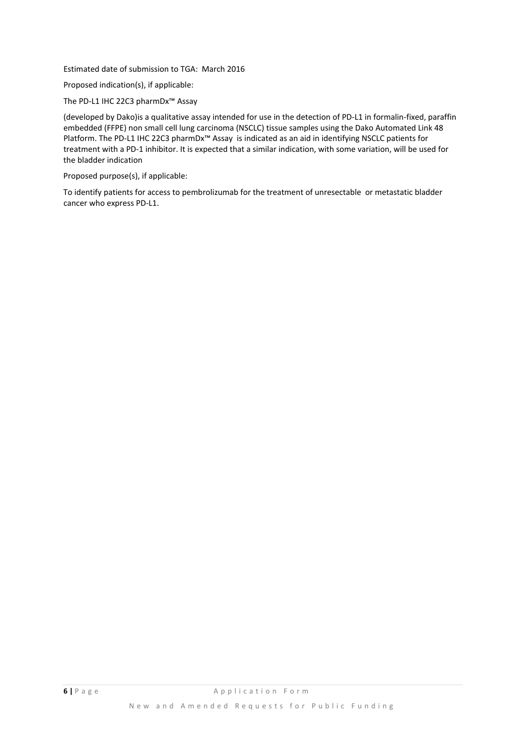Estimated date of submission to TGA: March 2016

Proposed indication(s), if applicable:

The PD‐L1 IHC 22C3 pharmDx™ Assay

(developed by Dako)is a qualitative assay intended for use in the detection of PD‐L1 in formalin‐fixed, paraffin embedded (FFPE) non small cell lung carcinoma (NSCLC) tissue samples using the Dako Automated Link 48 Platform. The PD-L1 IHC 22C3 pharmDx<sup>™</sup> Assay is indicated as an aid in identifying NSCLC patients for treatment with a PD‐1 inhibitor. It is expected that a similar indication, with some variation, will be used for the bladder indication

Proposed purpose(s), if applicable:

To identify patients for access to pembrolizumab for the treatment of unresectable or metastatic bladder cancer who express PD‐L1.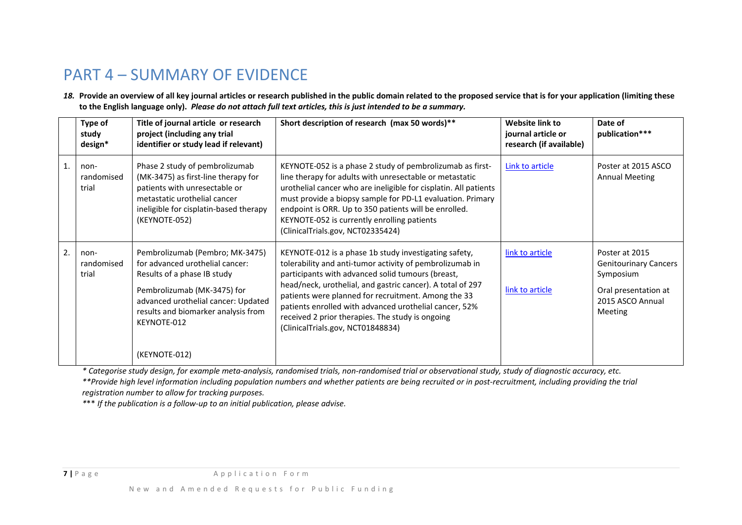### PART 4 – SUMMARY OF EVIDENCE

18. Provide an overview of all key journal articles or research published in the public domain related to the proposed service that is for your application (limiting these to the English language only). *Please do not attach full text articles, this is just intended to be a summary*.

|                | study<br>design*            | Title of journal article or research<br>project (including any trial<br>identifier or study lead if relevant)                                                                                                                                  | Short description of research (max 50 words)**                                                                                                                                                                                                                                                                                                                                                                                                 | Website link to<br>journal article or<br>research (if available) | Date of<br>publication***                                                                                                 |
|----------------|-----------------------------|------------------------------------------------------------------------------------------------------------------------------------------------------------------------------------------------------------------------------------------------|------------------------------------------------------------------------------------------------------------------------------------------------------------------------------------------------------------------------------------------------------------------------------------------------------------------------------------------------------------------------------------------------------------------------------------------------|------------------------------------------------------------------|---------------------------------------------------------------------------------------------------------------------------|
| $\mathbf{1}$ . | non-<br>randomised<br>trial | Phase 2 study of pembrolizumab<br>(MK-3475) as first-line therapy for<br>patients with unresectable or<br>metastatic urothelial cancer<br>ineligible for cisplatin-based therapy<br>(KEYNOTE-052)                                              | KEYNOTE-052 is a phase 2 study of pembrolizumab as first-<br>line therapy for adults with unresectable or metastatic<br>urothelial cancer who are ineligible for cisplatin. All patients<br>must provide a biopsy sample for PD-L1 evaluation. Primary<br>endpoint is ORR. Up to 350 patients will be enrolled.<br>KEYNOTE-052 is currently enrolling patients<br>(ClinicalTrials.gov, NCT02335424)                                            | Link to article                                                  | Poster at 2015 ASCO<br><b>Annual Meeting</b>                                                                              |
| 2.             | non-<br>randomised<br>trial | Pembrolizumab (Pembro; MK-3475)<br>for advanced urothelial cancer:<br>Results of a phase IB study<br>Pembrolizumab (MK-3475) for<br>advanced urothelial cancer: Updated<br>results and biomarker analysis from<br>KEYNOTE-012<br>(KEYNOTE-012) | KEYNOTE-012 is a phase 1b study investigating safety,<br>tolerability and anti-tumor activity of pembrolizumab in<br>participants with advanced solid tumours (breast,<br>head/neck, urothelial, and gastric cancer). A total of 297<br>patients were planned for recruitment. Among the 33<br>patients enrolled with advanced urothelial cancer, 52%<br>received 2 prior therapies. The study is ongoing<br>(ClinicalTrials.gov, NCT01848834) | link to article<br>link to article                               | Poster at 2015<br><b>Genitourinary Cancers</b><br>Symposium<br>Oral presentation at<br>2015 ASCO Annual<br><b>Meeting</b> |

\* Categorise study design, for example meta-analysis, randomised trials, non-randomised trial or observational study, study of diagnostic accuracy, etc. \*\*Provide high level information including population numbers and whether patients are being recruited or in post-recruitment, including providing the trial

*registration number to allow for tracking purposes.*

*\**\*\* *If the publication is <sup>a</sup> follow‐up to an initial publication, please advise.*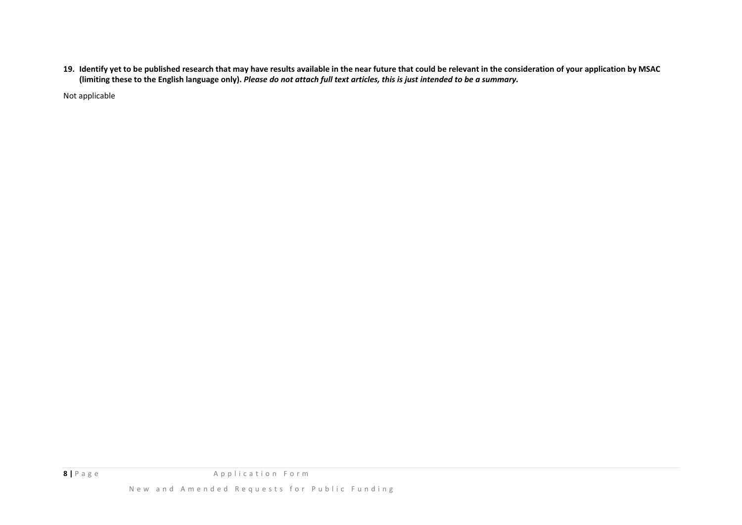19. Identify yet to be published research that may have results available in the near future that could be relevant in the consideration of your application by MSAC (limiting these to the English language only). Please do not attach full text articles, this is just intended to be a summary.

Not applicable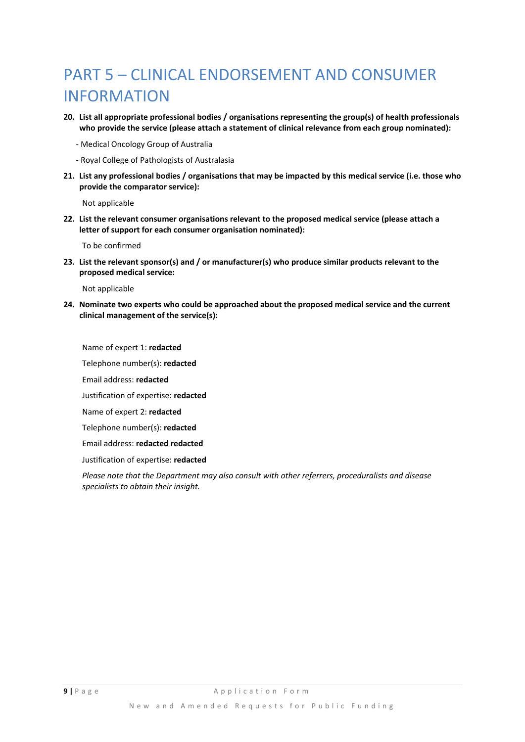### PART 5 – CLINICAL ENDORSEMENT AND CONSUMER INFORMATION

- **20. List all appropriate professional bodies / organisations representing the group(s) of health professionals who provide the service (please attach a statement of clinical relevance from each group nominated):**
	- ‐ Medical Oncology Group of Australia
	- ‐ Royal College of Pathologists of Australasia
- 21. List any professional bodies / organisations that may be impacted by this medical service (i.e. those who **provide the comparator service):**

Not applicable

**22. List the relevant consumer organisations relevant to the proposed medical service (please attach a letter of support for each consumer organisation nominated):**

To be confirmed

**23. List the relevant sponsor(s) and / or manufacturer(s) who produce similar products relevant to the proposed medical service:**

Not applicable

**24. Nominate two experts who could be approached about the proposed medical service and the current clinical management of the service(s):**

Name of expert 1: **redacted** Telephone number(s): **redacted** Email address: **redacted** Justification of expertise: **redacted** Name of expert 2: **redacted** Telephone number(s): **redacted**

Email address: **redacted redacted**

Justification of expertise: **redacted**

*Please note that the Department may also consult with other referrers, proceduralists and disease specialists to obtain their insight.*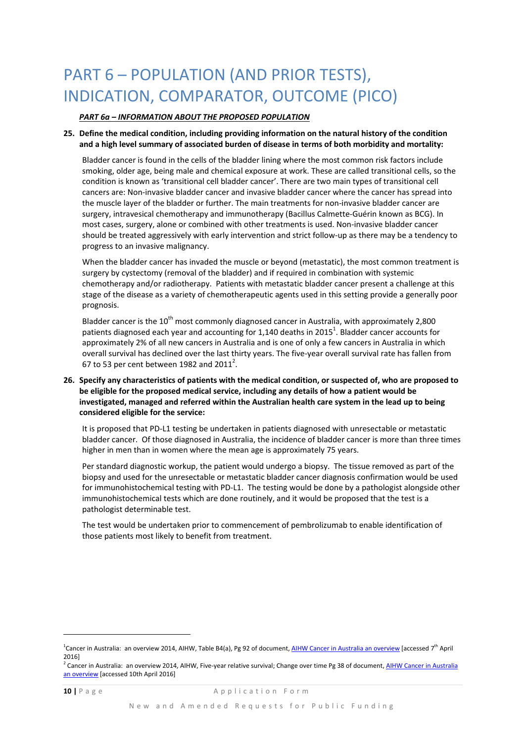## PART 6 – POPULATION (AND PRIOR TESTS), INDICATION, COMPARATOR, OUTCOME (PICO)

#### *PART 6a – INFORMATION ABOUT THE PROPOSED POPULATION*

#### **25. Define the medical condition, including providing information on the natural history of the condition and a high level summary of associated burden of disease in terms of both morbidity and mortality:**

Bladder cancer is found in the cells of the bladder lining where the most common risk factors include smoking, older age, being male and chemical exposure at work. These are called transitional cells, so the condition is known as 'transitional cell bladder cancer'. There are two main types of transitional cell cancers are: Non‐invasive bladder cancer and invasive bladder cancer where the cancer has spread into the muscle layer of the bladder or further. The main treatments for non-invasive bladder cancer are surgery, intravesical chemotherapy and immunotherapy (Bacillus Calmette‐Guérin known as BCG). In most cases, surgery, alone or combined with other treatments is used. Non-invasive bladder cancer should be treated aggressively with early intervention and strict follow‐up as there may be a tendency to progress to an invasive malignancy.

When the bladder cancer has invaded the muscle or beyond (metastatic), the most common treatment is surgery by cystectomy (removal of the bladder) and if required in combination with systemic chemotherapy and/or radiotherapy. Patients with metastatic bladder cancer present a challenge at this stage of the disease as a variety of chemotherapeutic agents used in this setting provide a generally poor prognosis.

Bladder cancer is the  $10^{th}$  most commonly diagnosed cancer in Australia, with approximately 2,800 patients diagnosed each year and accounting for 1,140 deaths in 2015<sup>1</sup>. Bladder cancer accounts for approximately 2% of all new cancers in Australia and is one of only a few cancers in Australia in which overall survival has declined over the last thirty years. The five‐year overall survival rate has fallen from 67 to 53 per cent between 1982 and 2011<sup>2</sup>.

#### 26. Specify any characteristics of patients with the medical condition, or suspected of, who are proposed to **be eligible for the proposed medical service, including any details of how a patient would be investigated, managed and referred within the Australian health care system in the lead up to being considered eligible for the service:**

It is proposed that PD-L1 testing be undertaken in patients diagnosed with unresectable or metastatic bladder cancer. Of those diagnosed in Australia, the incidence of bladder cancer is more than three times higher in men than in women where the mean age is approximately 75 years.

Per standard diagnostic workup, the patient would undergo a biopsy. The tissue removed as part of the biopsy and used for the unresectable or metastatic bladder cancer diagnosis confirmation would be used for immunohistochemical testing with PD‐L1. The testing would be done by a pathologist alongside other immunohistochemical tests which are done routinely, and it would be proposed that the test is a pathologist determinable test.

The test would be undertaken prior to commencement of pembrolizumab to enable identification of those patients most likely to benefit from treatment.

<u> Andrew Maria (1989)</u>

<sup>&</sup>lt;sup>1</sup>Cancer in Australia: an overview 2014, AIHW, Table B4(a), Pg 92 of document, <u>AIHW Cancer in Australia an overview</u> [accessed 7<sup>th</sup> April 2016]

<sup>&</sup>lt;sup>2</sup> Cancer in Australia: an overview 2014, AIHW, Five-year relative survival; Change over time Pg 38 of document, AIHW Cancer in Australia an overview [accessed 10th April 2016]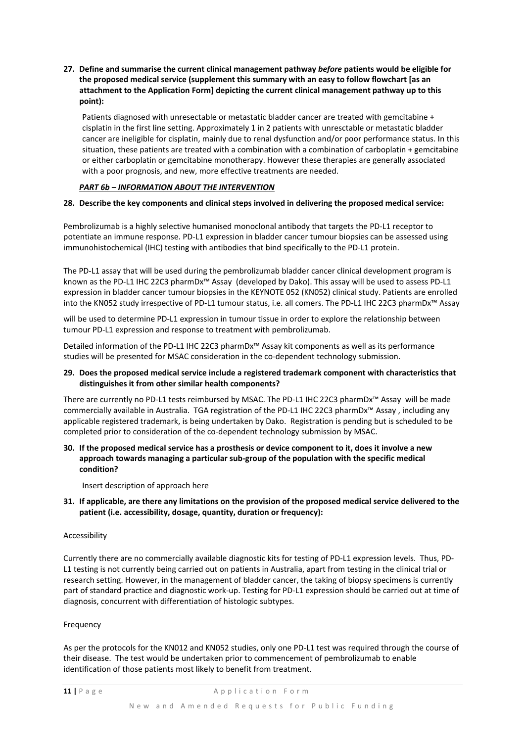#### **27. Define and summarise the current clinical management pathway** *before* **patients would be eligible for the proposed medical service (supplement this summary with an easy to follow flowchart [as an attachment to the Application Form] depicting the current clinical management pathway up to this point):**

Patients diagnosed with unresectable or metastatic bladder cancer are treated with gemcitabine + cisplatin in the first line setting. Approximately 1 in 2 patients with unresctable or metastatic bladder cancer are ineligible for cisplatin, mainly due to renal dysfunction and/or poor performance status. In this situation, these patients are treated with a combination with a combination of carboplatin + gemcitabine or either carboplatin or gemcitabine monotherapy. However these therapies are generally associated with a poor prognosis, and new, more effective treatments are needed.

#### *PART 6b – INFORMATION ABOUT THE INTERVENTION*

#### **28. Describe the key components and clinical steps involved in delivering the proposed medical service:**

Pembrolizumab is a highly selective humanised monoclonal antibody that targets the PD‐L1 receptor to potentiate an immune response. PD‐L1 expression in bladder cancer tumour biopsies can be assessed using immunohistochemical (IHC) testing with antibodies that bind specifically to the PD‐L1 protein.

The PD-L1 assay that will be used during the pembrolizumab bladder cancer clinical development program is known as the PD‐L1 IHC 22C3 pharmDx™ Assay (developed by Dako). This assay will be used to assess PD‐L1 expression in bladder cancer tumour biopsies in the KEYNOTE 052 (KN052) clinical study. Patients are enrolled into the KN052 study irrespective of PD‐L1 tumour status, i.e. all comers. The PD‐L1 IHC 22C3 pharmDx™ Assay

will be used to determine PD-L1 expression in tumour tissue in order to explore the relationship between tumour PD‐L1 expression and response to treatment with pembrolizumab.

Detailed information of the PD‐L1 IHC 22C3 pharmDx™ Assay kit components as well as its performance studies will be presented for MSAC consideration in the co-dependent technology submission.

#### **29. Does the proposed medical service include a registered trademark component with characteristics that distinguishes it from other similar health components?**

There are currently no PD‐L1 tests reimbursed by MSAC. The PD‐L1 IHC 22C3 pharmDx™ Assay will be made commercially available in Australia. TGA registration of the PD‐L1 IHC 22C3 pharmDx™ Assay , including any applicable registered trademark, is being undertaken by Dako. Registration is pending but is scheduled to be completed prior to consideration of the co-dependent technology submission by MSAC.

#### 30. If the proposed medical service has a prosthesis or device component to it, does it involve a new **approach towards managing a particular sub‐group of the population with the specific medical condition?**

Insert description of approach here

#### 31. If applicable, are there any limitations on the provision of the proposed medical service delivered to the **patient (i.e. accessibility, dosage, quantity, duration or frequency):**

#### Accessibility

Currently there are no commercially available diagnostic kits for testing of PD‐L1 expression levels. Thus, PD‐ L1 testing is not currently being carried out on patients in Australia, apart from testing in the clinical trial or research setting. However, in the management of bladder cancer, the taking of biopsy specimens is currently part of standard practice and diagnostic work‐up. Testing for PD‐L1 expression should be carried out at time of diagnosis, concurrent with differentiation of histologic subtypes.

#### Frequency

As per the protocols for the KN012 and KN052 studies, only one PD-L1 test was required through the course of their disease. The test would be undertaken prior to commencement of pembrolizumab to enable identification of those patients most likely to benefit from treatment.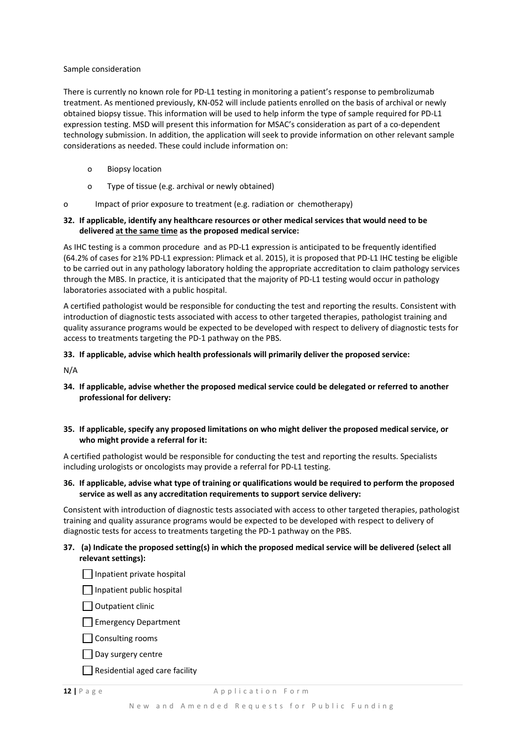#### Sample consideration

There is currently no known role for PD‐L1 testing in monitoring a patient's response to pembrolizumab treatment. As mentioned previously, KN‐052 will include patients enrolled on the basis of archival or newly obtained biopsy tissue. This information will be used to help inform the type of sample required for PD‐L1 expression testing. MSD will present this information for MSAC's consideration as part of a co-dependent technology submission. In addition, the application will seek to provide information on other relevant sample considerations as needed. These could include information on:

- o Biopsy location
- o Type of tissue (e.g. archival or newly obtained)
- o Impact of prior exposure to treatment (e.g. radiation or chemotherapy)

#### **32. If applicable, identify any healthcare resources or other medical services that would need to be delivered at the same time as the proposed medical service:**

As IHC testing is a common procedure and as PD‐L1 expression is anticipated to be frequently identified (64.2% of cases for ≥1% PD‐L1 expression: Plimack et al. 2015), it is proposed that PD‐L1 IHC testing be eligible to be carried out in any pathology laboratory holding the appropriate accreditation to claim pathology services through the MBS. In practice, it is anticipated that the majority of PD‐L1 testing would occur in pathology laboratories associated with a public hospital.

A certified pathologist would be responsible for conducting the test and reporting the results. Consistent with introduction of diagnostic tests associated with access to other targeted therapies, pathologist training and quality assurance programs would be expected to be developed with respect to delivery of diagnostic tests for access to treatments targeting the PD‐1 pathway on the PBS.

#### **33. If applicable, advise which health professionals will primarily deliver the proposed service:**

N/A

- **34. If applicable, advise whether the proposed medical service could be delegated or referred to another professional for delivery:**
- **35. If applicable, specify any proposed limitations on who might deliver the proposed medical service, or who might provide a referral for it:**

A certified pathologist would be responsible for conducting the test and reporting the results. Specialists including urologists or oncologists may provide a referral for PD‐L1 testing.

#### 36. If applicable, advise what type of training or qualifications would be required to perform the proposed **service as well as any accreditation requirements to support service delivery:**

Consistent with introduction of diagnostic tests associated with access to other targeted therapies, pathologist training and quality assurance programs would be expected to be developed with respect to delivery of diagnostic tests for access to treatments targeting the PD‐1 pathway on the PBS.

#### 37. (a) Indicate the proposed setting(s) in which the proposed medical service will be delivered (select all **relevant settings):**

| Inpatient private hospital |  |
|----------------------------|--|
|                            |  |

 $\Box$  Inpatient public hospital

 $\Box$  Outpatient clinic

Emergency Department

 $\Box$  Consulting rooms

 $\Box$  Day surgery centre

 $\Box$  Residential aged care facility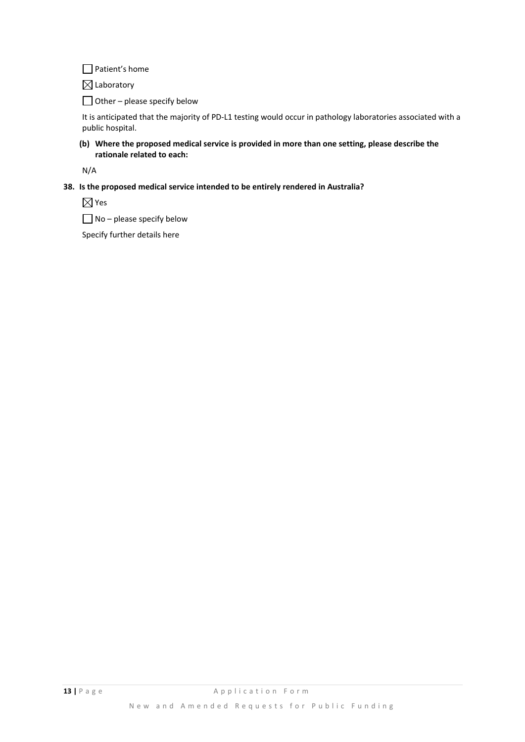□ Patient's home

 $\boxtimes$  Laboratory

 $\Box$  Other – please specify below

It is anticipated that the majority of PD-L1 testing would occur in pathology laboratories associated with a public hospital.

#### **(b) Where the proposed medical service is provided in more than one setting, please describe the rationale related to each:**

N/A

#### **38. Is the proposed medical service intended to be entirely rendered in Australia?**

 $\boxtimes$  Yes

 $\Box$  No – please specify below

Specify further details here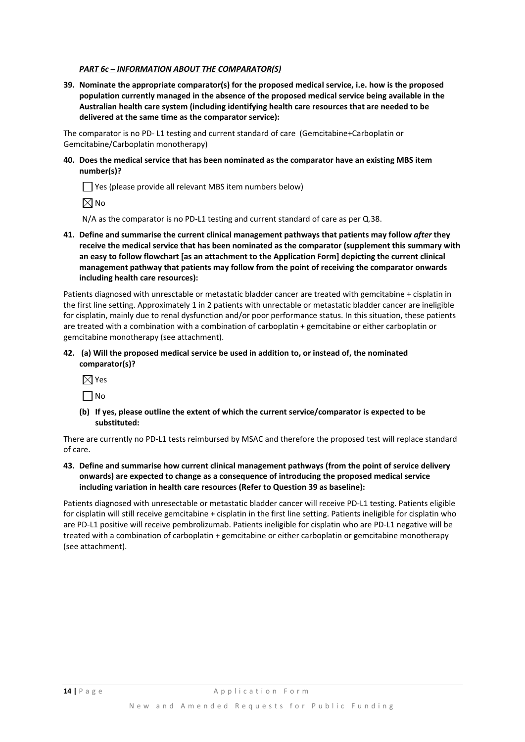#### *PART 6c – INFORMATION ABOUT THE COMPARATOR(S)*

**39. Nominate the appropriate comparator(s) for the proposed medical service, i.e. how is the proposed population currently managed in the absence of the proposed medical service being available in the Australian health care system (including identifying health care resources that are needed to be delivered at the same time as the comparator service):**

The comparator is no PD‐ L1 testing and current standard of care (Gemcitabine+Carboplatin or Gemcitabine/Carboplatin monotherapy)

**40. Does the medical service that has been nominated as the comparator have an existing MBS item number(s)?**

Yes (please provide all relevant MBS item numbers below)

 $\boxtimes$  No

N/A as the comparator is no PD-L1 testing and current standard of care as per Q.38.

**41. Define and summarise the current clinical management pathways that patients may follow** *after* **they receive the medical service that has been nominated as the comparator (supplement this summary with an easy to follow flowchart [as an attachment to the Application Form] depicting the current clinical management pathway that patients may follow from the point of receiving the comparator onwards including health care resources):**

Patients diagnosed with unresctable or metastatic bladder cancer are treated with gemcitabine + cisplatin in the first line setting. Approximately 1 in 2 patients with unrectable or metastatic bladder cancer are ineligible for cisplatin, mainly due to renal dysfunction and/or poor performance status. In this situation, these patients are treated with a combination with a combination of carboplatin + gemcitabine or either carboplatin or gemcitabine monotherapy (see attachment).

- **42. (a) Will the proposed medical service be used in addition to, or instead of, the nominated comparator(s)?**
	- $\boxtimes$  Yes

 $\Box$ No

**(b) If yes, please outline the extent of which the current service/comparator is expected to be substituted:**

There are currently no PD‐L1 tests reimbursed by MSAC and therefore the proposed test will replace standard of care.

**43. Define and summarise how current clinical management pathways (from the point of service delivery onwards) are expected to change as a consequence of introducing the proposed medical service including variation in health care resources (Refer to Question 39 as baseline):**

Patients diagnosed with unresectable or metastatic bladder cancer will receive PD‐L1 testing. Patients eligible for cisplatin will still receive gemcitabine + cisplatin in the first line setting. Patients ineligible for cisplatin who are PD‐L1 positive will receive pembrolizumab. Patients ineligible for cisplatin who are PD‐L1 negative will be treated with a combination of carboplatin + gemcitabine or either carboplatin or gemcitabine monotherapy (see attachment).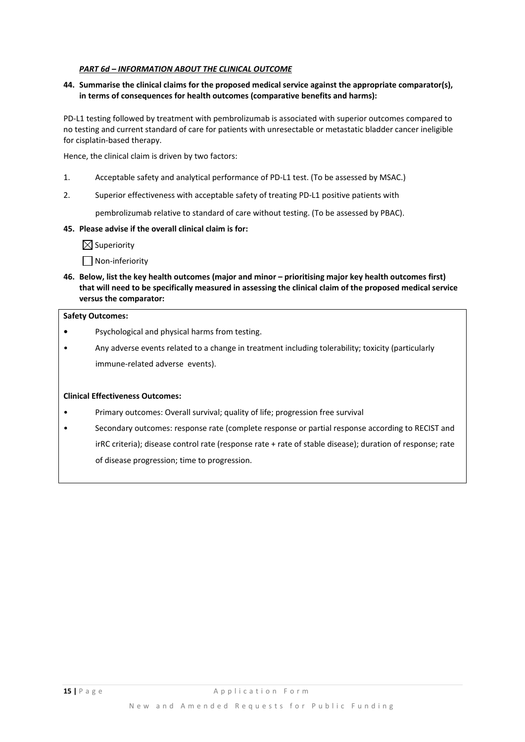#### *PART 6d – INFORMATION ABOUT THE CLINICAL OUTCOME*

#### **44. Summarise the clinical claims for the proposed medical service against the appropriate comparator(s), in terms of consequences for health outcomes (comparative benefits and harms):**

PD-L1 testing followed by treatment with pembrolizumab is associated with superior outcomes compared to no testing and current standard of care for patients with unresectable or metastatic bladder cancer ineligible for cisplatin‐based therapy.

Hence, the clinical claim is driven by two factors:

- 1. Acceptable safety and analytical performance of PD-L1 test. (To be assessed by MSAC.)
- 2. Superior effectiveness with acceptable safety of treating PD-L1 positive patients with

pembrolizumab relative to standard of care without testing. (To be assessed by PBAC).

#### **45. Please advise if the overall clinical claim is for:**

 $\boxtimes$  Superiority

Non‐inferiority

**46. Below, list the key health outcomes (major and minor – prioritising major key health outcomes first)** that will need to be specifically measured in assessing the clinical claim of the proposed medical service **versus the comparator:**

#### **Safety Outcomes:**

- **•** Psychological and physical harms from testing.
- Any adverse events related to a change in treatment including tolerability; toxicity (particularly immune-related adverse events).

#### **Clinical Effectiveness Outcomes:**

- Primary outcomes: Overall survival; quality of life; progression free survival
- Secondary outcomes: response rate (complete response or partial response according to RECIST and irRC criteria); disease control rate (response rate + rate of stable disease); duration of response; rate of disease progression; time to progression.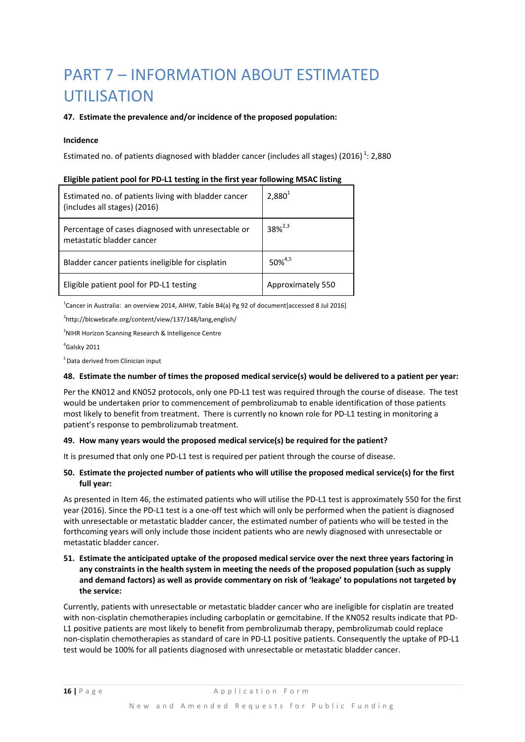## PART 7 – INFORMATION ABOUT ESTIMATED UTILISATION

#### **47. Estimate the prevalence and/or incidence of the proposed population:**

#### **Incidence**

Estimated no. of patients diagnosed with bladder cancer (includes all stages) (2016)<sup>1</sup>: 2,880

| Estimated no. of patients living with bladder cancer<br>(includes all stages) (2016) | $2,880^{1}$       |
|--------------------------------------------------------------------------------------|-------------------|
| Percentage of cases diagnosed with unresectable or<br>metastatic bladder cancer      | $38\%^{2,3}$      |
| Bladder cancer patients ineligible for cisplatin                                     | $50\%^{4,5}$      |
| Eligible patient pool for PD-L1 testing                                              | Approximately 550 |

 $^{1}$ Cancer in Australia: an overview 2014, AIHW, Table B4(a) Pg 92 of document[accessed 8 Jul 2016]

2 http://blcwebcafe.org/content/view/137/148/lang,english/

<sup>3</sup>NIHR Horizon Scanning Research & Intelligence Centre

#### 4 Galsky 2011

5 Data derived from Clinician input

#### 48. Estimate the number of times the proposed medical service(s) would be delivered to a patient per year:

Per the KN012 and KN052 protocols, only one PD‐L1 test was required through the course of disease. The test would be undertaken prior to commencement of pembrolizumab to enable identification of those patients most likely to benefit from treatment. There is currently no known role for PD‐L1 testing in monitoring a patient's response to pembrolizumab treatment.

#### **49. How many years would the proposed medical service(s) be required for the patient?**

It is presumed that only one PD-L1 test is required per patient through the course of disease.

#### 50. Estimate the projected number of patients who will utilise the proposed medical service(s) for the first **full year:**

As presented in Item 46, the estimated patients who will utilise the PD‐L1 test is approximately 550 for the first year (2016). Since the PD‐L1 test is a one‐off test which will only be performed when the patient is diagnosed with unresectable or metastatic bladder cancer, the estimated number of patients who will be tested in the forthcoming years will only include those incident patients who are newly diagnosed with unresectable or metastatic bladder cancer.

#### 51. Estimate the anticipated uptake of the proposed medical service over the next three years factoring in **any constraints in the health system in meeting the needs of the proposed population (such as supply and demand factors) as well as provide commentary on risk of 'leakage' to populations not targeted by the service:**

Currently, patients with unresectable or metastatic bladder cancer who are ineligible for cisplatin are treated with non-cisplatin chemotherapies including carboplatin or gemcitabine. If the KN052 results indicate that PD-L1 positive patients are most likely to benefit from pembrolizumab therapy, pembrolizumab could replace non‐cisplatin chemotherapies as standard of care in PD‐L1 positive patients. Consequently the uptake of PD‐L1 test would be 100% for all patients diagnosed with unresectable or metastatic bladder cancer.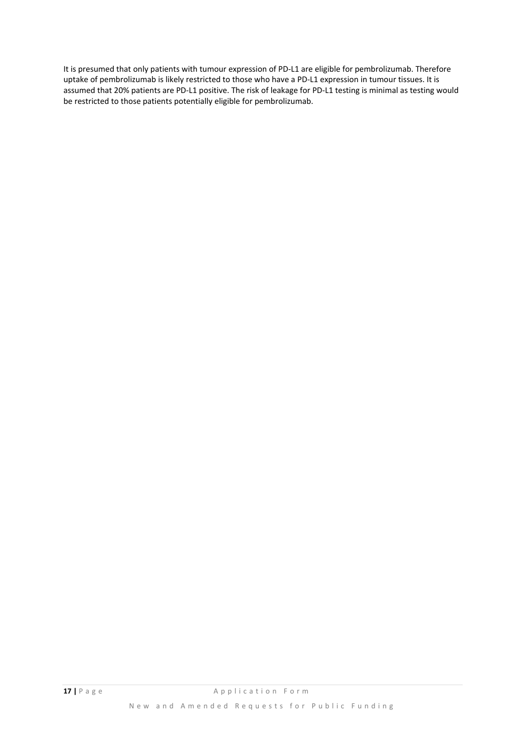It is presumed that only patients with tumour expression of PD‐L1 are eligible for pembrolizumab. Therefore uptake of pembrolizumab is likely restricted to those who have a PD‐L1 expression in tumour tissues. It is assumed that 20% patients are PD‐L1 positive. The risk of leakage for PD‐L1 testing is minimal as testing would be restricted to those patients potentially eligible for pembrolizumab.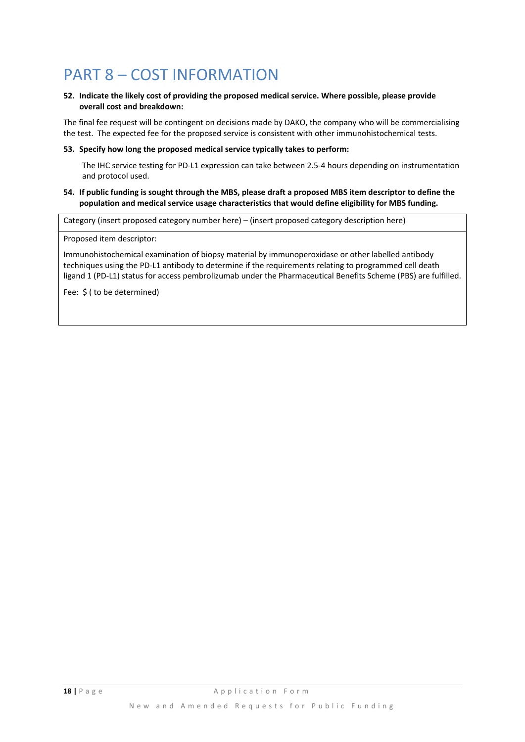### PART 8 – COST INFORMATION

#### **52. Indicate the likely cost of providing the proposed medical service. Where possible, please provide overall cost and breakdown:**

The final fee request will be contingent on decisions made by DAKO, the company who will be commercialising the test. The expected fee for the proposed service is consistent with other immunohistochemical tests.

#### **53. Specify how long the proposed medical service typically takes to perform:**

The IHC service testing for PD‐L1 expression can take between 2.5‐4 hours depending on instrumentation and protocol used.

#### 54. If public funding is sought through the MBS, please draft a proposed MBS item descriptor to define the **population and medical service usage characteristics that would define eligibility for MBS funding.**

Category (insert proposed category number here) – (insert proposed category description here)

Proposed item descriptor:

Immunohistochemical examination of biopsy material by immunoperoxidase or other labelled antibody techniques using the PD‐L1 antibody to determine if the requirements relating to programmed cell death ligand 1 (PD‐L1) status for access pembrolizumab under the Pharmaceutical Benefits Scheme (PBS) are fulfilled.

Fee: \$ ( to be determined)